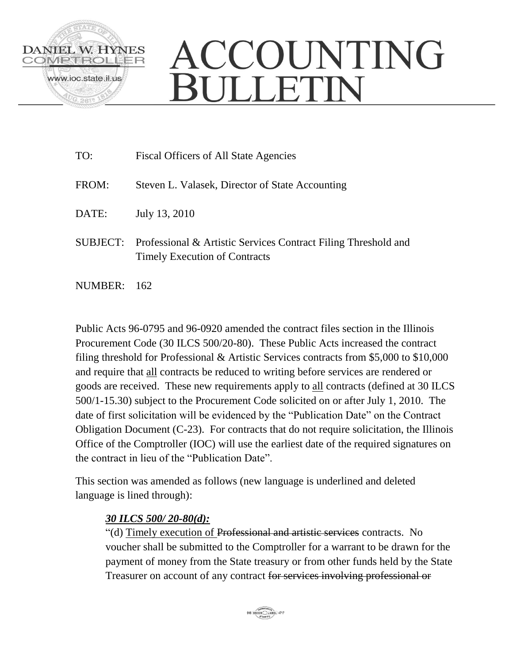

## ACCOUNTING **BULLETIN**

| TO:      | Fiscal Officers of All State Agencies                                                                  |
|----------|--------------------------------------------------------------------------------------------------------|
| FROM:    | Steven L. Valasek, Director of State Accounting                                                        |
| DATE:    | July 13, 2010                                                                                          |
| SUBJECT: | Professional & Artistic Services Contract Filing Threshold and<br><b>Timely Execution of Contracts</b> |

NUMBER: 162

Public Acts 96-0795 and 96-0920 amended the contract files section in the Illinois Procurement Code (30 ILCS 500/20-80). These Public Acts increased the contract filing threshold for Professional & Artistic Services contracts from \$5,000 to \$10,000 and require that all contracts be reduced to writing before services are rendered or goods are received. These new requirements apply to all contracts (defined at 30 ILCS 500/1-15.30) subject to the Procurement Code solicited on or after July 1, 2010. The date of first solicitation will be evidenced by the "Publication Date" on the Contract Obligation Document (C-23). For contracts that do not require solicitation, the Illinois Office of the Comptroller (IOC) will use the earliest date of the required signatures on the contract in lieu of the "Publication Date".

This section was amended as follows (new language is underlined and deleted language is lined through):

## *30 ILCS 500/ 20-80(d):*

"(d) Timely execution of Professional and artistic services contracts. No voucher shall be submitted to the Comptroller for a warrant to be drawn for the payment of money from the State treasury or from other funds held by the State Treasurer on account of any contract for services involving professional or

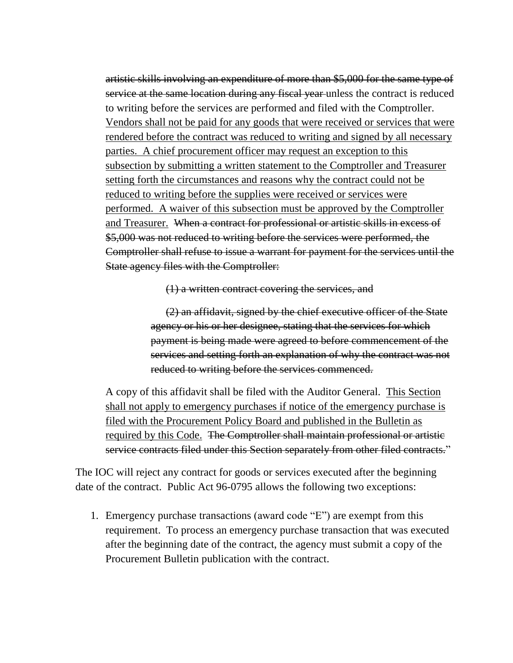artistic skills involving an expenditure of more than \$5,000 for the same type of service at the same location during any fiscal year unless the contract is reduced to writing before the services are performed and filed with the Comptroller. Vendors shall not be paid for any goods that were received or services that were rendered before the contract was reduced to writing and signed by all necessary parties. A chief procurement officer may request an exception to this subsection by submitting a written statement to the Comptroller and Treasurer setting forth the circumstances and reasons why the contract could not be reduced to writing before the supplies were received or services were performed. A waiver of this subsection must be approved by the Comptroller and Treasurer. When a contract for professional or artistic skills in excess of \$5,000 was not reduced to writing before the services were performed, the Comptroller shall refuse to issue a warrant for payment for the services until the State agency files with the Comptroller:

(1) a written contract covering the services, and

(2) an affidavit, signed by the chief executive officer of the State agency or his or her designee, stating that the services for which payment is being made were agreed to before commencement of the services and setting forth an explanation of why the contract was not reduced to writing before the services commenced.

A copy of this affidavit shall be filed with the Auditor General. This Section shall not apply to emergency purchases if notice of the emergency purchase is filed with the Procurement Policy Board and published in the Bulletin as required by this Code. The Comptroller shall maintain professional or artistic service contracts filed under this Section separately from other filed contracts."

The IOC will reject any contract for goods or services executed after the beginning date of the contract. Public Act 96-0795 allows the following two exceptions:

1. Emergency purchase transactions (award code "E") are exempt from this requirement. To process an emergency purchase transaction that was executed after the beginning date of the contract, the agency must submit a copy of the Procurement Bulletin publication with the contract.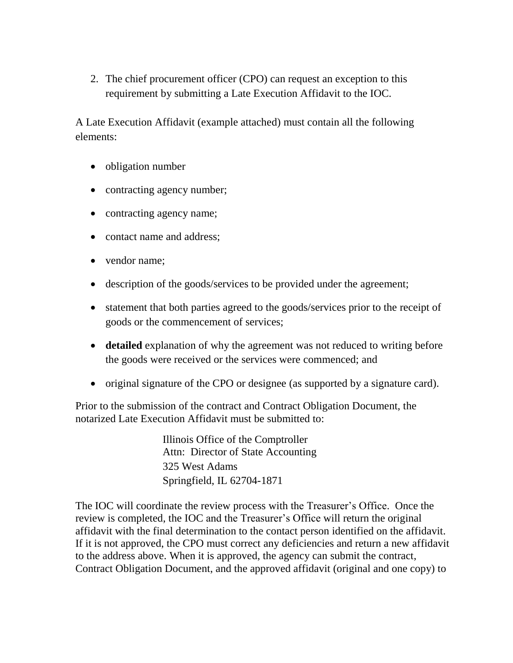2. The chief procurement officer (CPO) can request an exception to this requirement by submitting a Late Execution Affidavit to the IOC.

A Late Execution Affidavit (example attached) must contain all the following elements:

- obligation number
- contracting agency number;
- contracting agency name;
- contact name and address:
- vendor name:
- description of the goods/services to be provided under the agreement;
- statement that both parties agreed to the goods/services prior to the receipt of goods or the commencement of services;
- **detailed** explanation of why the agreement was not reduced to writing before the goods were received or the services were commenced; and
- original signature of the CPO or designee (as supported by a signature card).

Prior to the submission of the contract and Contract Obligation Document, the notarized Late Execution Affidavit must be submitted to:

> Illinois Office of the Comptroller Attn: Director of State Accounting 325 West Adams Springfield, IL 62704-1871

The IOC will coordinate the review process with the Treasurer's Office. Once the review is completed, the IOC and the Treasurer's Office will return the original affidavit with the final determination to the contact person identified on the affidavit. If it is not approved, the CPO must correct any deficiencies and return a new affidavit to the address above. When it is approved, the agency can submit the contract, Contract Obligation Document, and the approved affidavit (original and one copy) to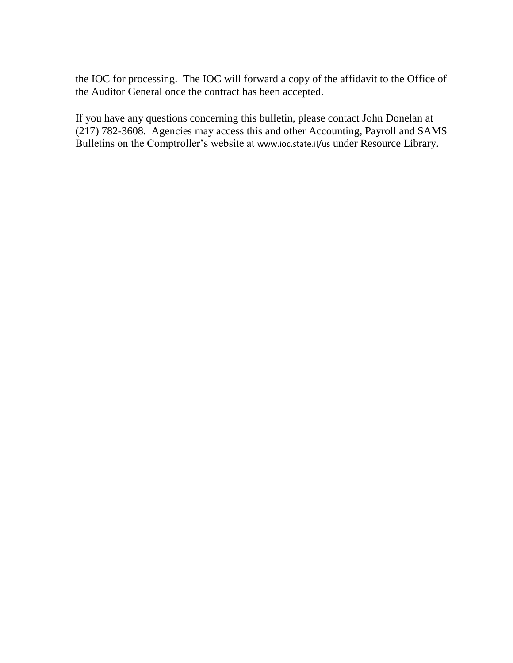the IOC for processing. The IOC will forward a copy of the affidavit to the Office of the Auditor General once the contract has been accepted.

If you have any questions concerning this bulletin, please contact John Donelan at (217) 782-3608. Agencies may access this and other Accounting, Payroll and SAMS Bulletins on the Comptroller's website at [www.ioc.state.il/us](http://www.ioc.state.il/us) under Resource Library.